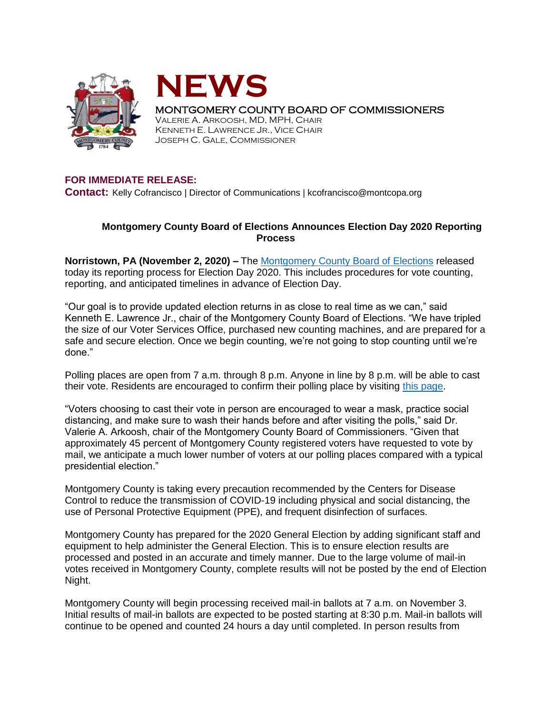



MONTGOMERY COUNTY BOARD OF COMMISSIONERS

VALERIE A. ARKOOSH, MD, MPH, CHAIR KENNETH E. LAWRENCE JR., VICE CHAIR JOSEPH C. GALE, COMMISSIONER

## **FOR IMMEDIATE RELEASE:**

**Contact:** Kelly Cofrancisco | Director of Communications | kcofrancisco@montcopa.org

## **Montgomery County Board of Elections Announces Election Day 2020 Reporting Process**

**Norristown, PA (November 2, 2020) –** The [Montgomery County Board of Elections](https://www.montcopa.org/753/Voter-Services) released today its reporting process for Election Day 2020. This includes procedures for vote counting, reporting, and anticipated timelines in advance of Election Day.

"Our goal is to provide updated election returns in as close to real time as we can," said Kenneth E. Lawrence Jr., chair of the Montgomery County Board of Elections. "We have tripled the size of our Voter Services Office, purchased new counting machines, and are prepared for a safe and secure election. Once we begin counting, we're not going to stop counting until we're done."

Polling places are open from 7 a.m. through 8 p.m. Anyone in line by 8 p.m. will be able to cast their vote. Residents are encouraged to confirm their polling place by visiting [this page.](https://www.montcopa.org/845/Where-Do-I-Vote)

"Voters choosing to cast their vote in person are encouraged to wear a mask, practice social distancing, and make sure to wash their hands before and after visiting the polls," said Dr. Valerie A. Arkoosh, chair of the Montgomery County Board of Commissioners. "Given that approximately 45 percent of Montgomery County registered voters have requested to vote by mail, we anticipate a much lower number of voters at our polling places compared with a typical presidential election."

Montgomery County is taking every precaution recommended by the Centers for Disease Control to reduce the transmission of COVID-19 including physical and social distancing, the use of Personal Protective Equipment (PPE), and frequent disinfection of surfaces.

Montgomery County has prepared for the 2020 General Election by adding significant staff and equipment to help administer the General Election. This is to ensure election results are processed and posted in an accurate and timely manner. Due to the large volume of mail-in votes received in Montgomery County, complete results will not be posted by the end of Election Night.

Montgomery County will begin processing received mail-in ballots at 7 a.m. on November 3. Initial results of mail-in ballots are expected to be posted starting at 8:30 p.m. Mail-in ballots will continue to be opened and counted 24 hours a day until completed. In person results from